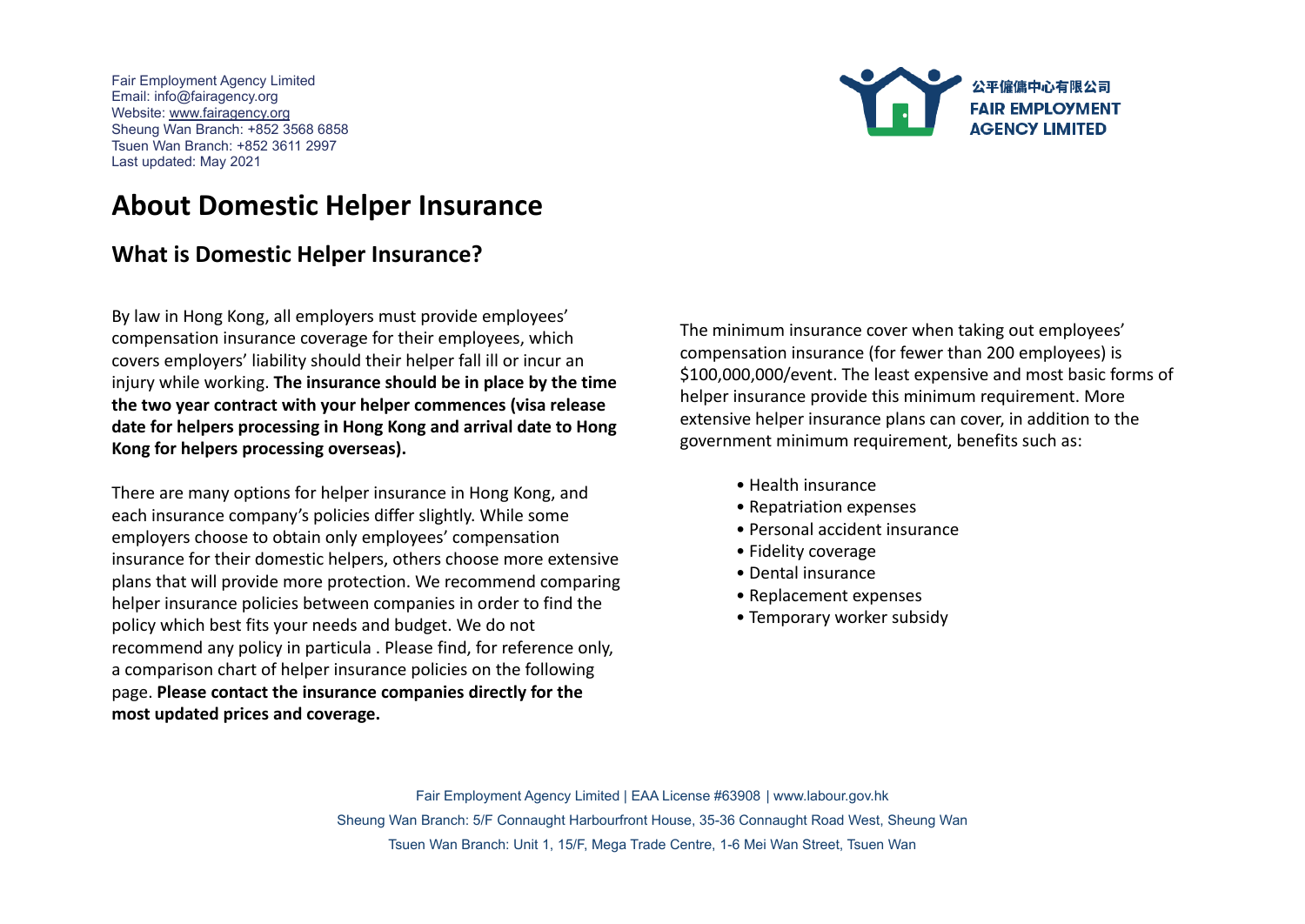

## **About Domestic Helper Insurance**

## **What is Domestic Helper Insurance?**

By law in Hong Kong, all employers must provide employees' compensation insurance coverage for their employees, which covers employers' liability should their helper fall ill or incur an injury while working. **The insurance should be in place by the time the two year contract with your helper commences (visa release date for helpers processing in Hong Kong and arrival date to Hong Kong for helpers processing overseas).**

There are many options for helper insurance in Hong Kong, and each insurance company's policies differ slightly. While some employers choose to obtain only employees' compensation insurance for their domestic helpers, others choose more extensive plans that will provide more protection. We recommend comparing helper insurance policies between companies in order to find the policy which best fits your needs and budget. We do not recommend any policy in particula . Please find, for reference only, a comparison chart of helper insurance policies on the following page. **Please contact the insurance companies directly for the most updated prices and coverage.**

The minimum insurance cover when taking out employees' compensation insurance (for fewer than 200 employees) is \$100,000,000/event. The least expensive and most basic forms of helper insurance provide this minimum requirement. More extensive helper insurance plans can cover, in addition to the government minimum requirement, benefits such as:

- Health insurance
- Repatriation expenses
- Personal accident insurance
- Fidelity coverage
- Dental insurance
- Replacement expenses
- Temporary worker subsidy

Fair Employment Agency Limited | EAA License #63908 | www.labour.gov.hk Sheung Wan Branch: 5/F Connaught Harbourfront House, 35-36 Connaught Road West, Sheung Wan Tsuen Wan Branch: Unit 1, 15/F, Mega Trade Centre, 1-6 Mei Wan Street, Tsuen Wan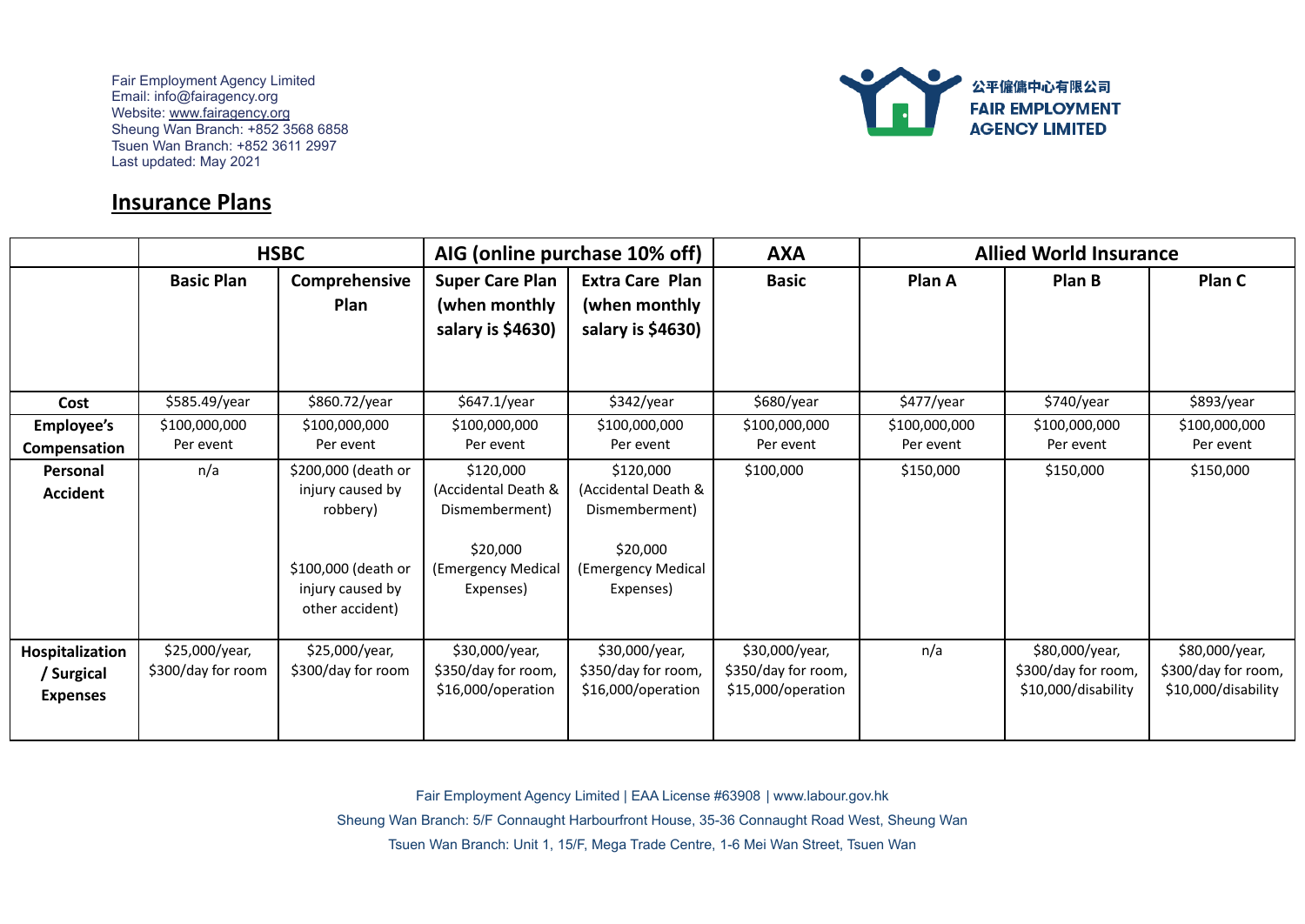

## **Insurance Plans**

|                   | <b>HSBC</b>        |                     | AIG (online purchase 10% off) |                        | <b>AXA</b>          | <b>Allied World Insurance</b> |                     |                     |
|-------------------|--------------------|---------------------|-------------------------------|------------------------|---------------------|-------------------------------|---------------------|---------------------|
|                   | <b>Basic Plan</b>  | Comprehensive       | <b>Super Care Plan</b>        | <b>Extra Care Plan</b> | <b>Basic</b>        | Plan A                        | Plan B              | Plan C              |
|                   |                    | Plan                | (when monthly                 | (when monthly          |                     |                               |                     |                     |
|                   |                    |                     | salary is \$4630)             | salary is \$4630)      |                     |                               |                     |                     |
|                   |                    |                     |                               |                        |                     |                               |                     |                     |
|                   |                    |                     |                               |                        |                     |                               |                     |                     |
| Cost              | \$585.49/year      | \$860.72/year       | \$647.1/year                  | \$342/year             | \$680/year          | \$477/year                    | \$740/year          | \$893/year          |
| <b>Employee's</b> | \$100,000,000      | \$100,000,000       | \$100,000,000                 | \$100,000,000          | \$100,000,000       | \$100,000,000                 | \$100,000,000       | \$100,000,000       |
| Compensation      | Per event          | Per event           | Per event                     | Per event              | Per event           | Per event                     | Per event           | Per event           |
| <b>Personal</b>   | n/a                | \$200,000 (death or | \$120,000                     | \$120,000              | \$100,000           | \$150,000                     | \$150,000           | \$150,000           |
| <b>Accident</b>   |                    | injury caused by    | (Accidental Death &           | (Accidental Death &    |                     |                               |                     |                     |
|                   |                    | robbery)            | Dismemberment)                | Dismemberment)         |                     |                               |                     |                     |
|                   |                    |                     | \$20,000                      | \$20,000               |                     |                               |                     |                     |
|                   |                    | \$100,000 (death or | (Emergency Medical            | (Emergency Medical     |                     |                               |                     |                     |
|                   |                    | injury caused by    | Expenses)                     | Expenses)              |                     |                               |                     |                     |
|                   |                    | other accident)     |                               |                        |                     |                               |                     |                     |
|                   |                    |                     |                               |                        |                     |                               |                     |                     |
| Hospitalization   | \$25,000/year,     | \$25,000/year,      | \$30,000/year,                | \$30,000/year,         | \$30,000/year,      | n/a                           | \$80,000/year,      | \$80,000/year,      |
| / Surgical        | \$300/day for room | \$300/day for room  | \$350/day for room,           | \$350/day for room,    | \$350/day for room, |                               | \$300/day for room, | \$300/day for room, |
| <b>Expenses</b>   |                    |                     | \$16,000/operation            | \$16,000/operation     | \$15,000/operation  |                               | \$10,000/disability | \$10,000/disability |
|                   |                    |                     |                               |                        |                     |                               |                     |                     |

Fair Employment Agency Limited | EAA License #63908 | www.labour.gov.hk

Sheung Wan Branch: 5/F Connaught Harbourfront House, 35-36 Connaught Road West, Sheung Wan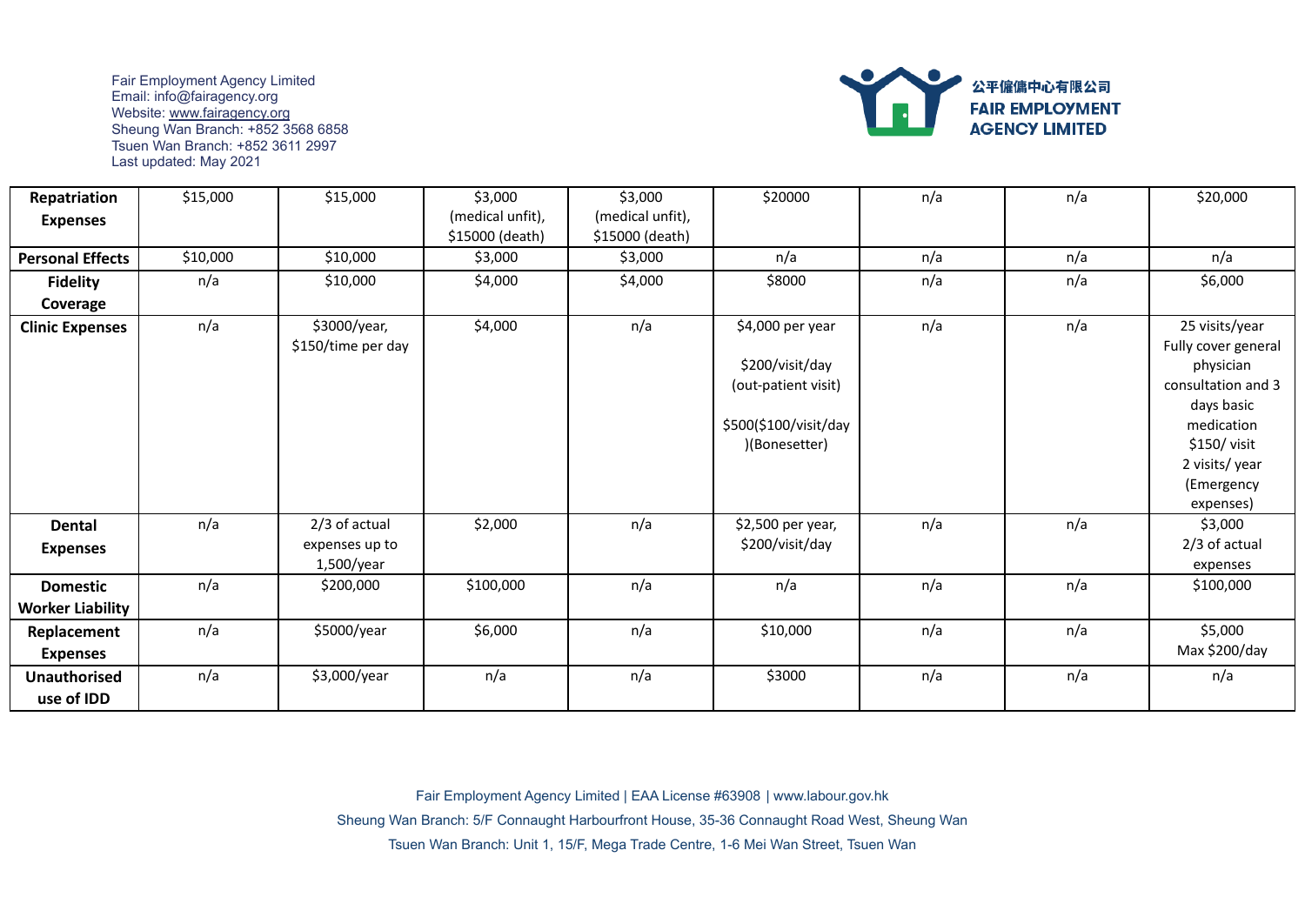

| Repatriation                      | \$15,000 | \$15,000                                      | \$3,000                             | \$3,000                             | \$20000                                                                                             | n/a | n/a | \$20,000                                                                                                                                                        |
|-----------------------------------|----------|-----------------------------------------------|-------------------------------------|-------------------------------------|-----------------------------------------------------------------------------------------------------|-----|-----|-----------------------------------------------------------------------------------------------------------------------------------------------------------------|
| <b>Expenses</b>                   |          |                                               | (medical unfit),<br>\$15000 (death) | (medical unfit),<br>\$15000 (death) |                                                                                                     |     |     |                                                                                                                                                                 |
| <b>Personal Effects</b>           | \$10,000 | \$10,000                                      | \$3,000                             | \$3,000                             | n/a                                                                                                 | n/a | n/a | n/a                                                                                                                                                             |
| <b>Fidelity</b>                   | n/a      | \$10,000                                      | \$4,000                             | \$4,000                             | \$8000                                                                                              | n/a | n/a | \$6,000                                                                                                                                                         |
| Coverage                          |          |                                               |                                     |                                     |                                                                                                     |     |     |                                                                                                                                                                 |
| <b>Clinic Expenses</b>            | n/a      | \$3000/year,<br>\$150/time per day            | \$4,000                             | n/a                                 | \$4,000 per year<br>\$200/visit/day<br>(out-patient visit)<br>\$500(\$100/visit/day<br>(Bonesetter) | n/a | n/a | 25 visits/year<br>Fully cover general<br>physician<br>consultation and 3<br>days basic<br>medication<br>\$150/visit<br>2 visits/year<br>(Emergency<br>expenses) |
| <b>Dental</b><br><b>Expenses</b>  | n/a      | 2/3 of actual<br>expenses up to<br>1,500/year | \$2,000                             | n/a                                 | \$2,500 per year,<br>\$200/visit/day                                                                | n/a | n/a | \$3,000<br>2/3 of actual<br>expenses                                                                                                                            |
| <b>Domestic</b>                   | n/a      | \$200,000                                     | \$100,000                           | n/a                                 | n/a                                                                                                 | n/a | n/a | \$100,000                                                                                                                                                       |
| <b>Worker Liability</b>           |          |                                               |                                     |                                     |                                                                                                     |     |     |                                                                                                                                                                 |
| Replacement<br><b>Expenses</b>    | n/a      | \$5000/year                                   | \$6,000                             | n/a                                 | \$10,000                                                                                            | n/a | n/a | \$5,000<br>Max \$200/day                                                                                                                                        |
| <b>Unauthorised</b><br>use of IDD | n/a      | \$3,000/year                                  | n/a                                 | n/a                                 | \$3000                                                                                              | n/a | n/a | n/a                                                                                                                                                             |

Fair Employment Agency Limited | EAA License #63908 | www.labour.gov.hk

Sheung Wan Branch: 5/F Connaught Harbourfront House, 35-36 Connaught Road West, Sheung Wan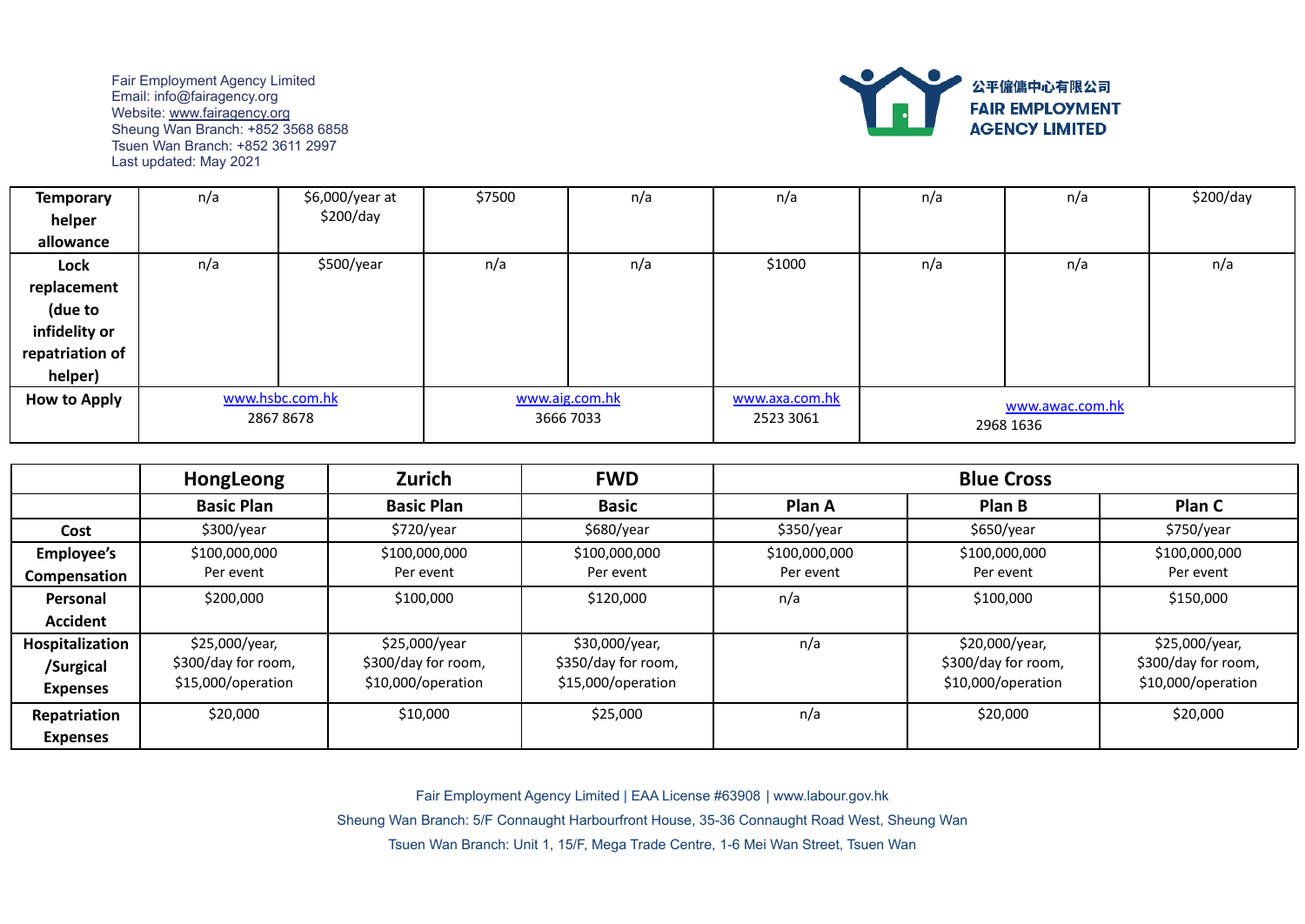

| <b>Temporary</b>    | n/a             | \$6,000/year at | \$7500         | n/a       | n/a            | n/a | n/a             | \$200/day |
|---------------------|-----------------|-----------------|----------------|-----------|----------------|-----|-----------------|-----------|
| helper              |                 | \$200/day       |                |           |                |     |                 |           |
| allowance           |                 |                 |                |           |                |     |                 |           |
| Lock                | n/a             | \$500/year      | n/a            | n/a       | \$1000         | n/a | n/a             | n/a       |
| replacement         |                 |                 |                |           |                |     |                 |           |
| (due to             |                 |                 |                |           |                |     |                 |           |
| infidelity or       |                 |                 |                |           |                |     |                 |           |
| repatriation of     |                 |                 |                |           |                |     |                 |           |
| helper)             |                 |                 |                |           |                |     |                 |           |
| <b>How to Apply</b> | www.hsbc.com.hk |                 | www.aig.com.hk |           | www.axa.com.hk |     | www.awac.com.hk |           |
|                     | 28678678        |                 |                | 3666 7033 |                |     | 2968 1636       |           |

|                   | HongLeong           | Zurich              | <b>FWD</b>          | <b>Blue Cross</b> |                     |                     |
|-------------------|---------------------|---------------------|---------------------|-------------------|---------------------|---------------------|
|                   | <b>Basic Plan</b>   | <b>Basic Plan</b>   | <b>Basic</b>        | Plan A            | Plan B              | Plan C              |
| Cost              | \$300/year          | \$720/year          | \$680/year          | \$350/year        | \$650/year          | \$750/year          |
| <b>Employee's</b> | \$100,000,000       | \$100,000,000       | \$100,000,000       | \$100,000,000     | \$100,000,000       | \$100,000,000       |
| Compensation      | Per event           | Per event           | Per event           | Per event         | Per event           | Per event           |
| Personal          | \$200,000           | \$100,000           | \$120,000           | n/a               | \$100,000           | \$150,000           |
| Accident          |                     |                     |                     |                   |                     |                     |
| Hospitalization   | \$25,000/year,      | \$25,000/year       | \$30,000/year,      | n/a               | \$20,000/year,      | \$25,000/year,      |
| /Surgical         | \$300/day for room, | \$300/day for room, | \$350/day for room, |                   | \$300/day for room, | \$300/day for room, |
| <b>Expenses</b>   | \$15,000/operation  | \$10,000/operation  | \$15,000/operation  |                   | \$10,000/operation  | \$10,000/operation  |
| Repatriation      | \$20,000            | \$10,000            | \$25,000            | n/a               | \$20,000            | \$20,000            |
| <b>Expenses</b>   |                     |                     |                     |                   |                     |                     |

Fair Employment Agency Limited | EAA License #63908 | www.labour.gov.hk

Sheung Wan Branch: 5/F Connaught Harbourfront House, 35-36 Connaught Road West, Sheung Wan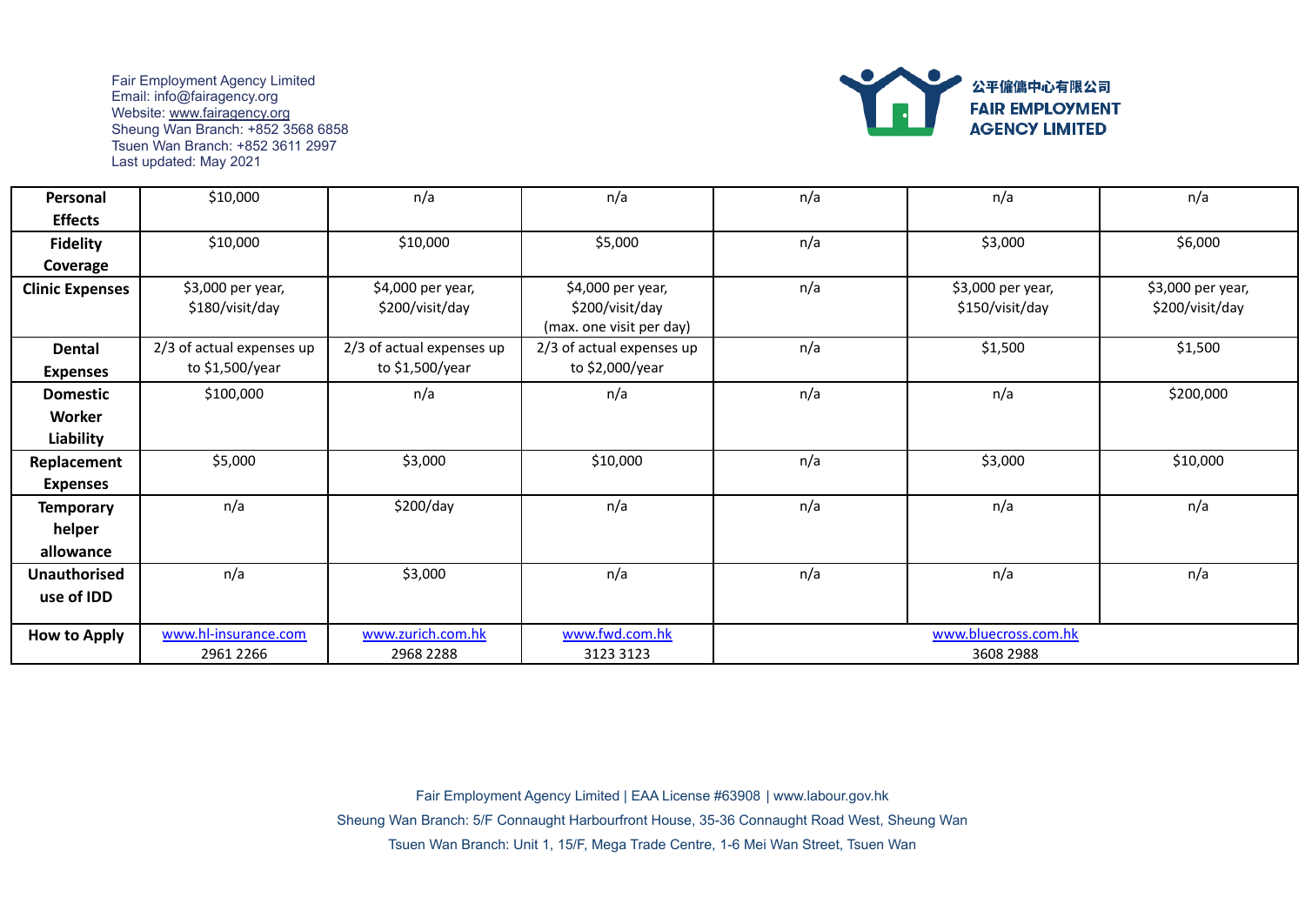

| Personal               | \$10,000                  | n/a                       | n/a                       | n/a                  | n/a               | n/a               |  |
|------------------------|---------------------------|---------------------------|---------------------------|----------------------|-------------------|-------------------|--|
| <b>Effects</b>         |                           |                           |                           |                      |                   |                   |  |
| <b>Fidelity</b>        | \$10,000                  | \$10,000                  | \$5,000                   | n/a                  | \$3,000           | \$6,000           |  |
| Coverage               |                           |                           |                           |                      |                   |                   |  |
| <b>Clinic Expenses</b> | \$3,000 per year,         | \$4,000 per year,         | \$4,000 per year,         | n/a                  | \$3,000 per year, | \$3,000 per year, |  |
|                        | \$180/visit/day           | \$200/visit/day           | \$200/visit/day           |                      | \$150/visit/day   | \$200/visit/day   |  |
|                        |                           |                           | (max. one visit per day)  |                      |                   |                   |  |
| <b>Dental</b>          | 2/3 of actual expenses up | 2/3 of actual expenses up | 2/3 of actual expenses up | n/a                  | \$1,500           | \$1,500           |  |
| <b>Expenses</b>        | to \$1,500/year           | to \$1,500/year           | to \$2,000/year           |                      |                   |                   |  |
| <b>Domestic</b>        | \$100,000                 | n/a                       | n/a                       | n/a                  | n/a               | \$200,000         |  |
| Worker                 |                           |                           |                           |                      |                   |                   |  |
| Liability              |                           |                           |                           |                      |                   |                   |  |
| Replacement            | \$5,000                   | \$3,000                   | \$10,000                  | n/a                  | \$3,000           | \$10,000          |  |
| <b>Expenses</b>        |                           |                           |                           |                      |                   |                   |  |
| <b>Temporary</b>       | n/a                       | \$200/day                 | n/a                       | n/a                  | n/a               | n/a               |  |
| helper                 |                           |                           |                           |                      |                   |                   |  |
| allowance              |                           |                           |                           |                      |                   |                   |  |
| <b>Unauthorised</b>    | n/a                       | \$3,000                   | n/a                       | n/a                  | n/a               | n/a               |  |
| use of IDD             |                           |                           |                           |                      |                   |                   |  |
|                        |                           |                           |                           |                      |                   |                   |  |
| <b>How to Apply</b>    | www.hl-insurance.com      | www.zurich.com.hk         | www.fwd.com.hk            | www.bluecross.com.hk |                   |                   |  |
|                        | 2961 2266                 | 2968 2288                 | 3123 3123                 | 3608 2988            |                   |                   |  |

Fair Employment Agency Limited | EAA License #63908 | www.labour.gov.hk Sheung Wan Branch: 5/F Connaught Harbourfront House, 35-36 Connaught Road West, Sheung Wan Tsuen Wan Branch: Unit 1, 15/F, Mega Trade Centre, 1-6 Mei Wan Street, Tsuen Wan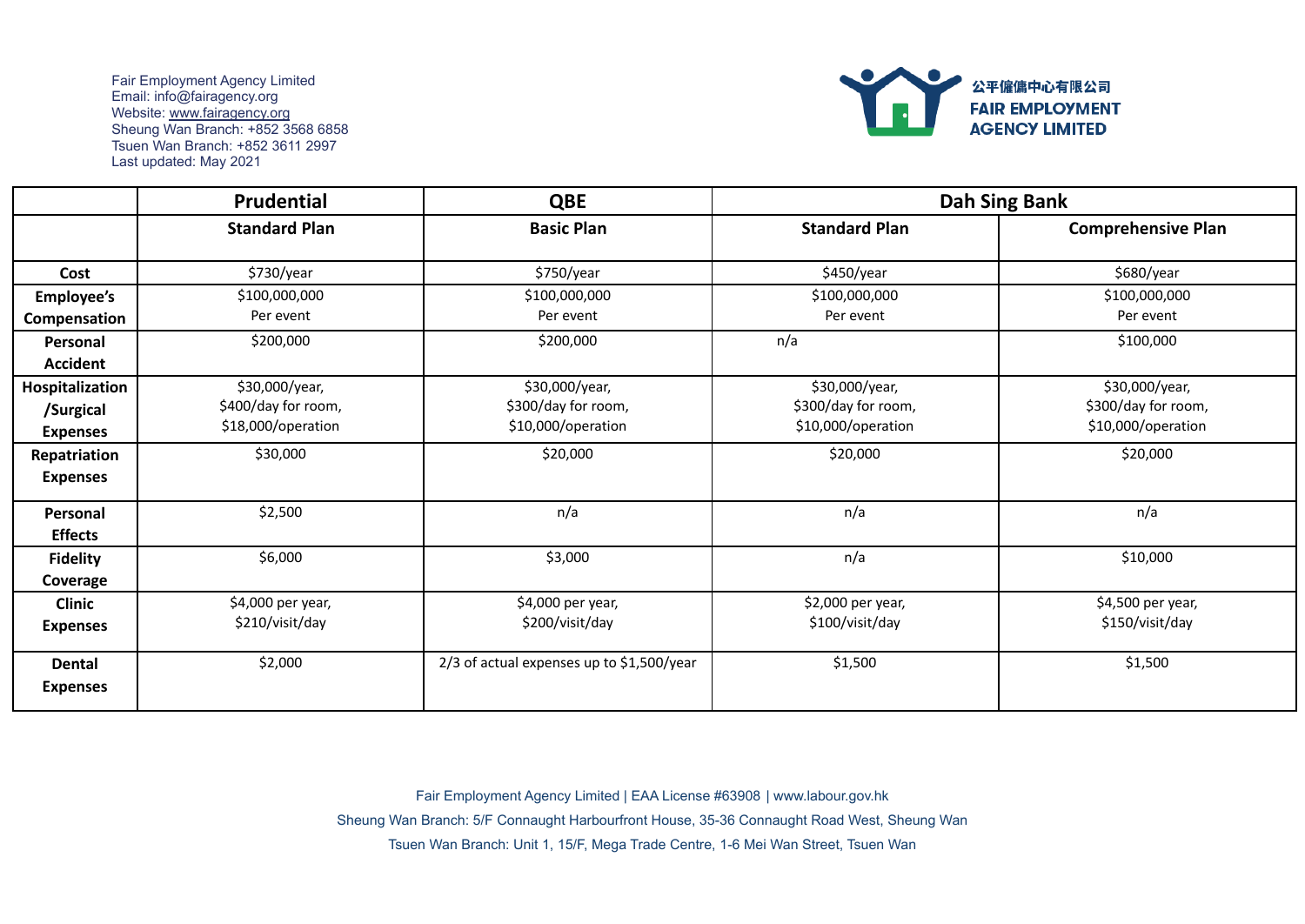

|                   | Prudential           | <b>QBE</b>                                |                      | <b>Dah Sing Bank</b>      |
|-------------------|----------------------|-------------------------------------------|----------------------|---------------------------|
|                   | <b>Standard Plan</b> | <b>Basic Plan</b>                         | <b>Standard Plan</b> | <b>Comprehensive Plan</b> |
| Cost              | \$730/year           | \$750/year                                | \$450/year           | \$680/year                |
| <b>Employee's</b> | \$100,000,000        | \$100,000,000                             | \$100,000,000        | \$100,000,000             |
| Compensation      | Per event            | Per event                                 | Per event            | Per event                 |
| Personal          | \$200,000            | \$200,000                                 | n/a                  | \$100,000                 |
| <b>Accident</b>   |                      |                                           |                      |                           |
| Hospitalization   | \$30,000/year,       | \$30,000/year,                            | \$30,000/year,       | \$30,000/year,            |
| /Surgical         | \$400/day for room,  | \$300/day for room,                       | \$300/day for room,  | \$300/day for room,       |
| <b>Expenses</b>   | \$18,000/operation   | \$10,000/operation                        | \$10,000/operation   | \$10,000/operation        |
| Repatriation      | \$30,000             | \$20,000                                  | \$20,000             | \$20,000                  |
| <b>Expenses</b>   |                      |                                           |                      |                           |
| Personal          | \$2,500              | n/a                                       | n/a                  | n/a                       |
| <b>Effects</b>    |                      |                                           |                      |                           |
| <b>Fidelity</b>   | \$6,000              | \$3,000                                   | n/a                  | \$10,000                  |
| Coverage          |                      |                                           |                      |                           |
| <b>Clinic</b>     | \$4,000 per year,    | \$4,000 per year,                         | \$2,000 per year,    | \$4,500 per year,         |
| <b>Expenses</b>   | \$210/visit/day      | \$200/visit/day                           | \$100/visit/day      | \$150/visit/day           |
| <b>Dental</b>     | \$2,000              | 2/3 of actual expenses up to \$1,500/year | \$1,500              | \$1,500                   |
| <b>Expenses</b>   |                      |                                           |                      |                           |

Fair Employment Agency Limited | EAA License #63908 | www.labour.gov.hk

Sheung Wan Branch: 5/F Connaught Harbourfront House, 35-36 Connaught Road West, Sheung Wan